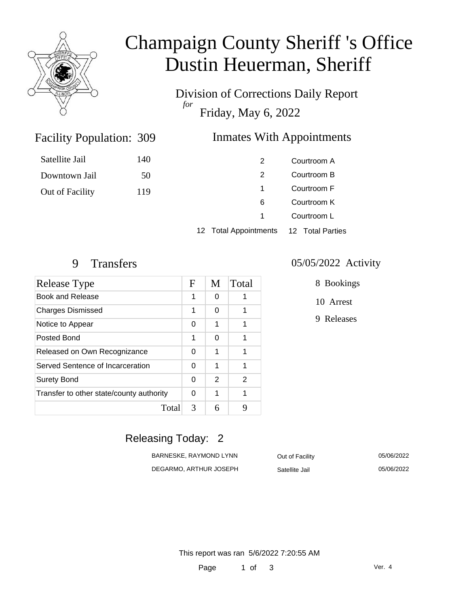

# Champaign County Sheriff 's Office Dustin Heuerman, Sheriff

Division of Corrections Daily Report *for* Friday, May 6, 2022

#### Inmates With Appointments

| Satellite Jail  | 140 | 2                     | Courtroom A      |
|-----------------|-----|-----------------------|------------------|
| Downtown Jail   | 50  | 2                     | Courtroom B      |
| Out of Facility | 119 |                       | Courtroom F      |
|                 |     | 6                     | Courtroom K      |
|                 |     |                       | Courtroom L      |
|                 |     | 12 Total Appointments | 12 Total Parties |

Facility Population: 309

| Release Type                             | F | M | Total |
|------------------------------------------|---|---|-------|
| Book and Release                         | 1 | O |       |
| <b>Charges Dismissed</b>                 | 1 | 0 |       |
| Notice to Appear                         | 0 | 1 | 1     |
| Posted Bond                              | 1 | 0 | 1     |
| Released on Own Recognizance             | 0 | 1 |       |
| Served Sentence of Incarceration         | U | 1 | 1     |
| <b>Surety Bond</b>                       | 0 | 2 | 2     |
| Transfer to other state/county authority | 0 | 1 | 1     |
| Total                                    | 3 | 6 | q     |

#### 9 Transfers 05/05/2022 Activity

8 Bookings

10 Arrest

9 Releases

### Releasing Today: 2

| BARNESKE, RAYMOND LYNN | Out of Facility | 05/06/2022 |
|------------------------|-----------------|------------|
| DEGARMO, ARTHUR JOSEPH | Satellite Jail  | 05/06/2022 |

This report was ran 5/6/2022 7:20:55 AM

Page 1 of 3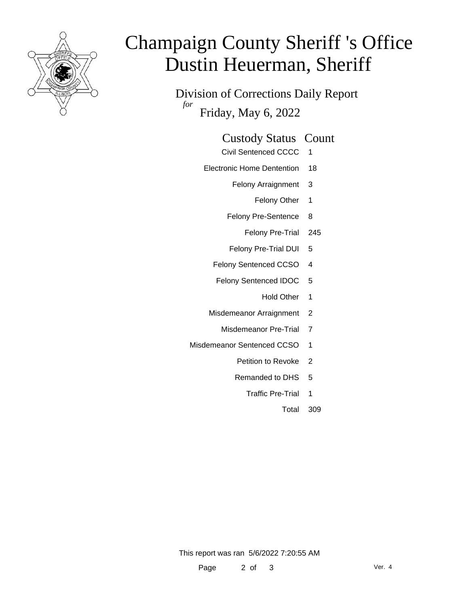

# Champaign County Sheriff 's Office Dustin Heuerman, Sheriff

Division of Corrections Daily Report *for* Friday, May 6, 2022

| <b>Custody Status Count</b> |  |
|-----------------------------|--|
|-----------------------------|--|

- Civil Sentenced CCCC 1
- Electronic Home Dentention 18
	- Felony Arraignment 3
		- Felony Other 1
	- Felony Pre-Sentence 8
		- Felony Pre-Trial 245
	- Felony Pre-Trial DUI 5
	- Felony Sentenced CCSO 4
	- Felony Sentenced IDOC 5
		- Hold Other 1
	- Misdemeanor Arraignment 2
		- Misdemeanor Pre-Trial 7
- Misdemeanor Sentenced CCSO 1
	- Petition to Revoke 2
	- Remanded to DHS 5
		- Traffic Pre-Trial 1
			- Total 309